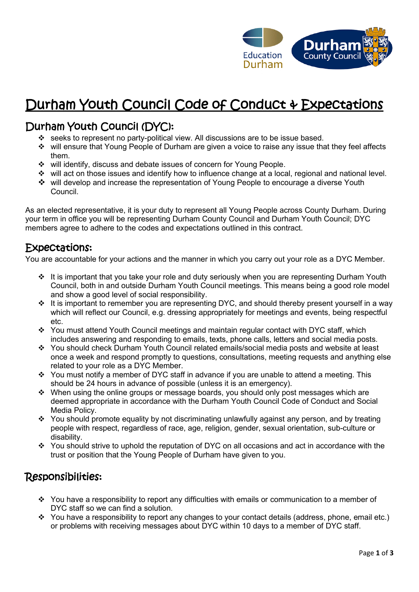

# Durham Youth Council Code of Conduct & Expectations

## Durham Youth Council (DYC):

- ❖ seeks to represent no party-political view. All discussions are to be issue based.
- ❖ will ensure that Young People of Durham are given a voice to raise any issue that they feel affects them.
- ❖ will identify, discuss and debate issues of concern for Young People.
- ❖ will act on those issues and identify how to influence change at a local, regional and national level.
- ❖ will develop and increase the representation of Young People to encourage a diverse Youth Council.

As an elected representative, it is your duty to represent all Young People across County Durham. During your term in office you will be representing Durham County Council and Durham Youth Council; DYC members agree to adhere to the codes and expectations outlined in this contract.

#### Expectations:

You are accountable for your actions and the manner in which you carry out your role as a DYC Member.

- ❖ It is important that you take your role and duty seriously when you are representing Durham Youth Council, both in and outside Durham Youth Council meetings. This means being a good role model and show a good level of social responsibility.
- ❖ It is important to remember you are representing DYC, and should thereby present yourself in a way which will reflect our Council, e.g. dressing appropriately for meetings and events, being respectful etc.
- ❖ You must attend Youth Council meetings and maintain regular contact with DYC staff, which includes answering and responding to emails, texts, phone calls, letters and social media posts.
- ❖ You should check Durham Youth Council related emails/social media posts and website at least once a week and respond promptly to questions, consultations, meeting requests and anything else related to your role as a DYC Member.
- ❖ You must notify a member of DYC staff in advance if you are unable to attend a meeting. This should be 24 hours in advance of possible (unless it is an emergency).
- ❖ When using the online groups or message boards, you should only post messages which are deemed appropriate in accordance with the Durham Youth Council Code of Conduct and Social Media Policy.
- ❖ You should promote equality by not discriminating unlawfully against any person, and by treating people with respect, regardless of race, age, religion, gender, sexual orientation, sub-culture or disability.
- ❖ You should strive to uphold the reputation of DYC on all occasions and act in accordance with the trust or position that the Young People of Durham have given to you.

### Responsibilities:

- $\cdot \cdot$  You have a responsibility to report any difficulties with emails or communication to a member of DYC staff so we can find a solution.
- ❖ You have a responsibility to report any changes to your contact details (address, phone, email etc.) or problems with receiving messages about DYC within 10 days to a member of DYC staff.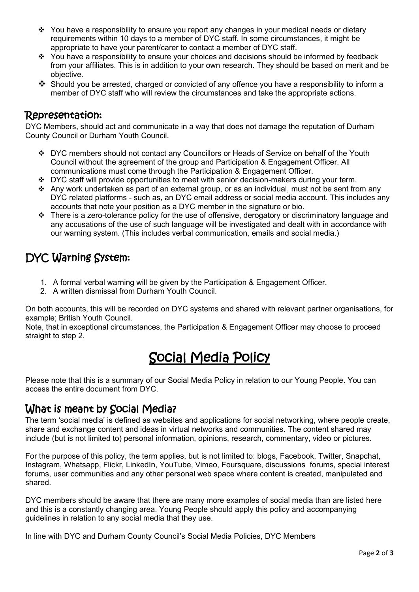- ❖ You have a responsibility to ensure you report any changes in your medical needs or dietary requirements within 10 days to a member of DYC staff. In some circumstances, it might be appropriate to have your parent/carer to contact a member of DYC staff.
- ❖ You have a responsibility to ensure your choices and decisions should be informed by feedback from your affiliates. This is in addition to your own research. They should be based on merit and be objective.
- ❖ Should you be arrested, charged or convicted of any offence you have a responsibility to inform a member of DYC staff who will review the circumstances and take the appropriate actions.

#### Representation:

DYC Members, should act and communicate in a way that does not damage the reputation of Durham County Council or Durham Youth Council.

- ❖ DYC members should not contact any Councillors or Heads of Service on behalf of the Youth Council without the agreement of the group and Participation & Engagement Officer. All communications must come through the Participation & Engagement Officer.
- ❖ DYC staff will provide opportunities to meet with senior decision-makers during your term.
- ❖ Any work undertaken as part of an external group, or as an individual, must not be sent from any DYC related platforms - such as, an DYC email address or social media account. This includes any accounts that note your position as a DYC member in the signature or bio.
- ❖ There is a zero-tolerance policy for the use of offensive, derogatory or discriminatory language and any accusations of the use of such language will be investigated and dealt with in accordance with our warning system. (This includes verbal communication, emails and social media.)

## DYC Warning System:

- 1. A formal verbal warning will be given by the Participation & Engagement Officer.
- 2. A written dismissal from Durham Youth Council.

On both accounts, this will be recorded on DYC systems and shared with relevant partner organisations, for example; British Youth Council.

Note, that in exceptional circumstances, the Participation & Engagement Officer may choose to proceed straight to step 2.

# Social Media Policy

Please note that this is a summary of our Social Media Policy in relation to our Young People. You can access the entire document from DYC.

## What is meant by Social Media?

The term 'social media' is defined as websites and applications for social networking, where people create, share and exchange content and ideas in virtual networks and communities. The content shared may include (but is not limited to) personal information, opinions, research, commentary, video or pictures.

For the purpose of this policy, the term applies, but is not limited to: blogs, Facebook, Twitter, Snapchat, Instagram, Whatsapp, Flickr, LinkedIn, YouTube, Vimeo, Foursquare, discussions forums, special interest forums, user communities and any other personal web space where content is created, manipulated and shared.

DYC members should be aware that there are many more examples of social media than are listed here and this is a constantly changing area. Young People should apply this policy and accompanying guidelines in relation to any social media that they use.

In line with DYC and Durham County Council's Social Media Policies, DYC Members